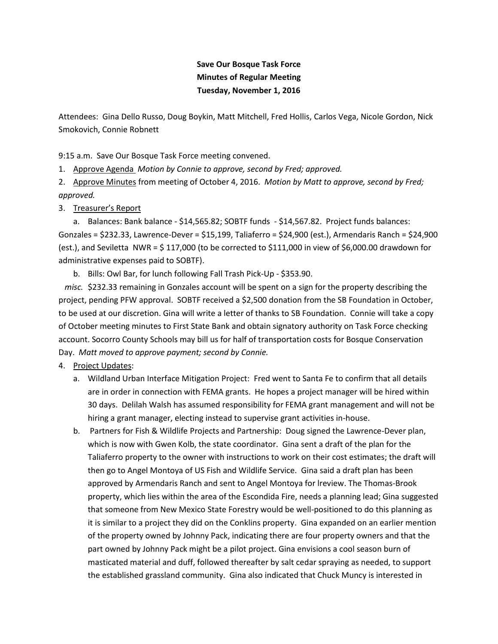## **Save Our Bosque Task Force Minutes of Regular Meeting Tuesday, November 1, 2016**

Attendees: Gina Dello Russo, Doug Boykin, Matt Mitchell, Fred Hollis, Carlos Vega, Nicole Gordon, Nick Smokovich, Connie Robnett

9:15 a.m. Save Our Bosque Task Force meeting convened.

1. Approve Agenda *Motion by Connie to approve, second by Fred; approved.*

2. Approve Minutes from meeting of October 4, 2016. *Motion by Matt to approve, second by Fred; approved.*

## 3. Treasurer's Report

a. Balances: Bank balance - \$14,565.82; SOBTF funds - \$14,567.82. Project funds balances: Gonzales = \$232.33, Lawrence-Dever = \$15,199, Taliaferro = \$24,900 (est.), Armendaris Ranch = \$24,900 (est.), and Seviletta NWR = \$ 117,000 (to be corrected to \$111,000 in view of \$6,000.00 drawdown for administrative expenses paid to SOBTF).

b. Bills: Owl Bar, for lunch following Fall Trash Pick-Up - \$353.90.

 *misc.* \$232.33 remaining in Gonzales account will be spent on a sign for the property describing the project, pending PFW approval. SOBTF received a \$2,500 donation from the SB Foundation in October, to be used at our discretion. Gina will write a letter of thanks to SB Foundation. Connie will take a copy of October meeting minutes to First State Bank and obtain signatory authority on Task Force checking account. Socorro County Schools may bill us for half of transportation costs for Bosque Conservation Day. *Matt moved to approve payment; second by Connie.*

## 4. Project Updates:

- a. Wildland Urban Interface Mitigation Project: Fred went to Santa Fe to confirm that all details are in order in connection with FEMA grants. He hopes a project manager will be hired within 30 days. Delilah Walsh has assumed responsibility for FEMA grant management and will not be hiring a grant manager, electing instead to supervise grant activities in-house.
- b. Partners for Fish & Wildlife Projects and Partnership: Doug signed the Lawrence-Dever plan, which is now with Gwen Kolb, the state coordinator. Gina sent a draft of the plan for the Taliaferro property to the owner with instructions to work on their cost estimates; the draft will then go to Angel Montoya of US Fish and Wildlife Service. Gina said a draft plan has been approved by Armendaris Ranch and sent to Angel Montoya for lreview. The Thomas-Brook property, which lies within the area of the Escondida Fire, needs a planning lead; Gina suggested that someone from New Mexico State Forestry would be well-positioned to do this planning as it is similar to a project they did on the Conklins property. Gina expanded on an earlier mention of the property owned by Johnny Pack, indicating there are four property owners and that the part owned by Johnny Pack might be a pilot project. Gina envisions a cool season burn of masticated material and duff, followed thereafter by salt cedar spraying as needed, to support the established grassland community. Gina also indicated that Chuck Muncy is interested in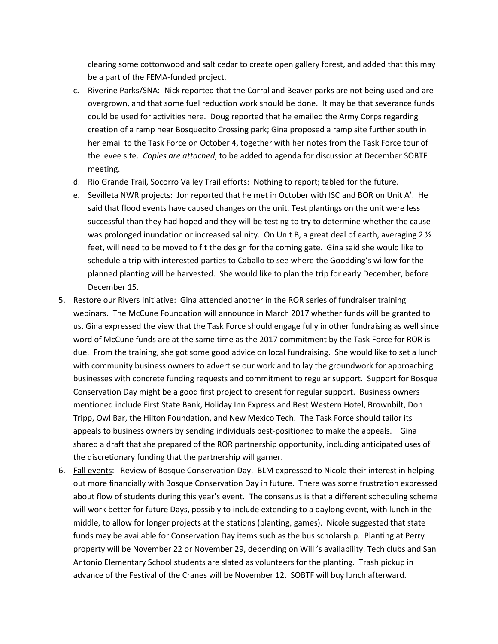clearing some cottonwood and salt cedar to create open gallery forest, and added that this may be a part of the FEMA-funded project.

- c. Riverine Parks/SNA: Nick reported that the Corral and Beaver parks are not being used and are overgrown, and that some fuel reduction work should be done. It may be that severance funds could be used for activities here. Doug reported that he emailed the Army Corps regarding creation of a ramp near Bosquecito Crossing park; Gina proposed a ramp site further south in her email to the Task Force on October 4, together with her notes from the Task Force tour of the levee site. *Copies are attached*, to be added to agenda for discussion at December SOBTF meeting.
- d. Rio Grande Trail, Socorro Valley Trail efforts: Nothing to report; tabled for the future.
- e. Sevilleta NWR projects: Jon reported that he met in October with ISC and BOR on Unit A'. He said that flood events have caused changes on the unit. Test plantings on the unit were less successful than they had hoped and they will be testing to try to determine whether the cause was prolonged inundation or increased salinity. On Unit B, a great deal of earth, averaging 2  $\frac{1}{2}$ feet, will need to be moved to fit the design for the coming gate. Gina said she would like to schedule a trip with interested parties to Caballo to see where the Goodding's willow for the planned planting will be harvested. She would like to plan the trip for early December, before December 15.
- 5. Restore our Rivers Initiative: Gina attended another in the ROR series of fundraiser training webinars. The McCune Foundation will announce in March 2017 whether funds will be granted to us. Gina expressed the view that the Task Force should engage fully in other fundraising as well since word of McCune funds are at the same time as the 2017 commitment by the Task Force for ROR is due. From the training, she got some good advice on local fundraising. She would like to set a lunch with community business owners to advertise our work and to lay the groundwork for approaching businesses with concrete funding requests and commitment to regular support. Support for Bosque Conservation Day might be a good first project to present for regular support. Business owners mentioned include First State Bank, Holiday Inn Express and Best Western Hotel, Brownbilt, Don Tripp, Owl Bar, the Hilton Foundation, and New Mexico Tech. The Task Force should tailor its appeals to business owners by sending individuals best-positioned to make the appeals. Gina shared a draft that she prepared of the ROR partnership opportunity, including anticipated uses of the discretionary funding that the partnership will garner.
- 6. Fall events: Review of Bosque Conservation Day. BLM expressed to Nicole their interest in helping out more financially with Bosque Conservation Day in future. There was some frustration expressed about flow of students during this year's event. The consensus is that a different scheduling scheme will work better for future Days, possibly to include extending to a daylong event, with lunch in the middle, to allow for longer projects at the stations (planting, games). Nicole suggested that state funds may be available for Conservation Day items such as the bus scholarship. Planting at Perry property will be November 22 or November 29, depending on Will 's availability. Tech clubs and San Antonio Elementary School students are slated as volunteers for the planting. Trash pickup in advance of the Festival of the Cranes will be November 12. SOBTF will buy lunch afterward.